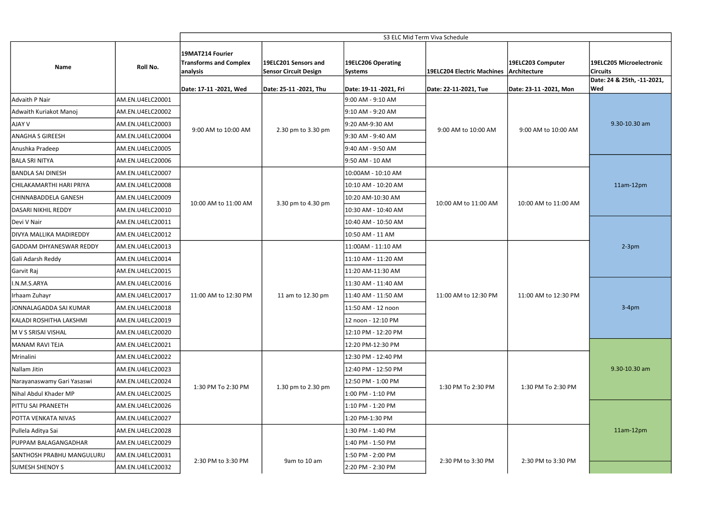|                                |                  | S3 ELC Mid Term Viva Schedule                                 |                                                      |                                      |                            |                                   |                                             |  |
|--------------------------------|------------------|---------------------------------------------------------------|------------------------------------------------------|--------------------------------------|----------------------------|-----------------------------------|---------------------------------------------|--|
| Name                           | Roll No.         | 19MAT214 Fourier<br><b>Transforms and Complex</b><br>analysis | 19ELC201 Sensors and<br><b>Sensor Circuit Design</b> | 19ELC206 Operating<br><b>Systems</b> | 19ELC204 Electric Machines | 19ELC203 Computer<br>Architecture | 19ELC205 Microelectronic<br><b>Circuits</b> |  |
|                                |                  | Date: 17-11 -2021, Wed                                        | Date: 25-11 -2021, Thu                               | Date: 19-11 -2021, Fri               | Date: 22-11-2021, Tue      | Date: 23-11 -2021, Mon            | Date: 24 & 25th, -11-2021,<br><b>Wed</b>    |  |
| Advaith P Nair                 | AM.EN.U4ELC20001 |                                                               |                                                      | 9:00 AM - 9:10 AM                    |                            |                                   |                                             |  |
| Adwaith Kuriakot Manoj         | AM.EN.U4ELC20002 | 9:00 AM to 10:00 AM                                           | 2.30 pm to 3.30 pm                                   | 9:10 AM - 9:20 AM                    | 9:00 AM to 10:00 AM        | 9:00 AM to 10:00 AM               | 9.30-10.30 am                               |  |
| <b>AJAY V</b>                  | AM.EN.U4ELC20003 |                                                               |                                                      | 9:20 AM-9:30 AM                      |                            |                                   |                                             |  |
| <b>ANAGHA S GIREESH</b>        | AM.EN.U4ELC20004 |                                                               |                                                      | 9:30 AM - 9:40 AM                    |                            |                                   |                                             |  |
| Anushka Pradeep                | AM.EN.U4ELC20005 |                                                               |                                                      | 9:40 AM - 9:50 AM                    |                            |                                   |                                             |  |
| <b>BALA SRI NITYA</b>          | AM.EN.U4ELC20006 |                                                               |                                                      | 9:50 AM - 10 AM                      |                            |                                   |                                             |  |
| <b>BANDLA SAI DINESH</b>       | AM.EN.U4ELC20007 |                                                               | 3.30 pm to 4.30 pm                                   | 10:00AM - 10:10 AM                   | 10:00 AM to 11:00 AM       | 10:00 AM to 11:00 AM              | 11am-12pm                                   |  |
| CHILAKAMARTHI HARI PRIYA       | AM.EN.U4ELC20008 |                                                               |                                                      | 10:10 AM - 10:20 AM                  |                            |                                   |                                             |  |
| CHINNABADDELA GANESH           | AM.EN.U4ELC20009 | 10:00 AM to 11:00 AM                                          |                                                      | 10:20 AM-10:30 AM                    |                            |                                   |                                             |  |
| DASARI NIKHIL REDDY            | AM.EN.U4ELC20010 |                                                               |                                                      | 10:30 AM - 10:40 AM                  |                            |                                   |                                             |  |
| Devi V Nair                    | AM.EN.U4ELC20011 |                                                               |                                                      | 10:40 AM - 10:50 AM                  |                            |                                   |                                             |  |
| DIVYA MALLIKA MADIREDDY        | AM.EN.U4ELC20012 |                                                               |                                                      | 10:50 AM - 11 AM                     |                            |                                   |                                             |  |
| <b>GADDAM DHYANESWAR REDDY</b> | AM.EN.U4ELC20013 |                                                               | 11 am to 12.30 pm                                    | 11:00AM - 11:10 AM                   | 11:00 AM to 12:30 PM       | 11:00 AM to 12:30 PM              | $2-3pm$                                     |  |
| Gali Adarsh Reddy              | AM.EN.U4ELC20014 | 11:00 AM to 12:30 PM                                          |                                                      | 11:10 AM - 11:20 AM                  |                            |                                   |                                             |  |
| Garvit Raj                     | AM.EN.U4ELC20015 |                                                               |                                                      | 11:20 AM-11:30 AM                    |                            |                                   |                                             |  |
| I.N.M.S.ARYA                   | AM.EN.U4ELC20016 |                                                               |                                                      | 11:30 AM - 11:40 AM                  |                            |                                   | $3-4pm$<br>9.30-10.30 am                    |  |
| Irhaam Zuhayr                  | AM.EN.U4ELC20017 |                                                               |                                                      | 11:40 AM - 11:50 AM                  |                            |                                   |                                             |  |
| JONNALAGADDA SAI KUMAR         | AM.EN.U4ELC20018 |                                                               |                                                      | 11:50 AM - 12 noon                   |                            |                                   |                                             |  |
| KALADI ROSHITHA LAKSHMI        | AM.EN.U4ELC20019 |                                                               |                                                      | 12 noon - 12:10 PM                   |                            |                                   |                                             |  |
| M V S SRISAI VISHAL            | AM.EN.U4ELC20020 |                                                               |                                                      | 12:10 PM - 12:20 PM                  |                            |                                   |                                             |  |
| MANAM RAVI TEJA                | AM.EN.U4ELC20021 |                                                               |                                                      | 12:20 PM-12:30 PM                    |                            |                                   |                                             |  |
| Mrinalini                      | AM.EN.U4ELC20022 |                                                               | 1.30 pm to 2.30 pm                                   | 12:30 PM - 12:40 PM                  | 1:30 PM To 2:30 PM         | 1:30 PM To 2:30 PM                |                                             |  |
| Nallam Jitin                   | AM.EN.U4ELC20023 | 1:30 PM To 2:30 PM                                            |                                                      | 12:40 PM - 12:50 PM                  |                            |                                   |                                             |  |
| Narayanaswamy Gari Yasaswi     | AM.EN.U4ELC20024 |                                                               |                                                      | 12:50 PM - 1:00 PM                   |                            |                                   |                                             |  |
| Nihal Abdul Khader MP          | AM.EN.U4ELC20025 |                                                               |                                                      | 1:00 PM - 1:10 PM                    |                            |                                   |                                             |  |
| <b>PITTU SAI PRANEETH</b>      | AM.EN.U4ELC20026 |                                                               |                                                      | 1:10 PM - 1:20 PM                    |                            |                                   |                                             |  |
| POTTA VENKATA NIVAS            | AM.EN.U4ELC20027 |                                                               |                                                      | 1:20 PM-1:30 PM                      |                            |                                   |                                             |  |
| Pullela Aditya Sai             | AM.EN.U4ELC20028 |                                                               |                                                      | 1:30 PM - 1:40 PM                    |                            |                                   | 11am-12pm                                   |  |
| PUPPAM BALAGANGADHAR           | AM.EN.U4ELC20029 |                                                               |                                                      | 1:40 PM - 1:50 PM                    |                            |                                   |                                             |  |
| SANTHOSH PRABHU MANGULURU      | AM.EN.U4ELC20031 | 2:30 PM to 3:30 PM                                            | 9am to 10 am                                         | 1:50 PM - 2:00 PM                    | 2:30 PM to 3:30 PM         | 2:30 PM to 3:30 PM                |                                             |  |
| SUMESH SHENOY S                | AM.EN.U4ELC20032 |                                                               |                                                      | 2:20 PM - 2:30 PM                    |                            |                                   |                                             |  |